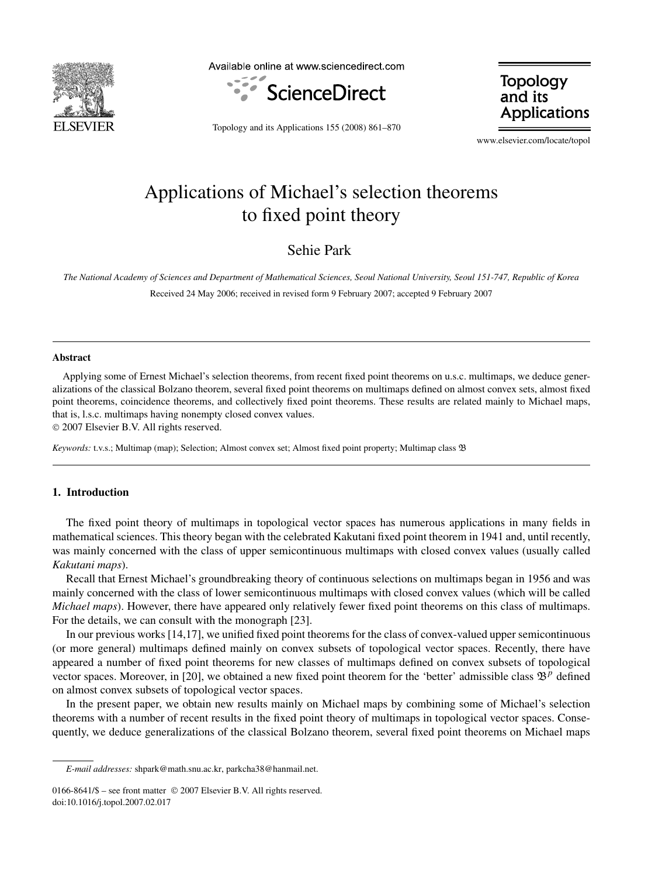

Available online at www.sciencedirect.com



**Topology** and its **Applications** 

Topology and its Applications 155 (2008) 861–870

www.elsevier.com/locate/topol

# Applications of Michael's selection theorems to fixed point theory

Sehie Park

*The National Academy of Sciences and Department of Mathematical Sciences, Seoul National University, Seoul 151-747, Republic of Korea* Received 24 May 2006; received in revised form 9 February 2007; accepted 9 February 2007

#### **Abstract**

Applying some of Ernest Michael's selection theorems, from recent fixed point theorems on u.s.c. multimaps, we deduce generalizations of the classical Bolzano theorem, several fixed point theorems on multimaps defined on almost convex sets, almost fixed point theorems, coincidence theorems, and collectively fixed point theorems. These results are related mainly to Michael maps, that is, l.s.c. multimaps having nonempty closed convex values.

© 2007 Elsevier B.V. All rights reserved.

*Keywords:* t.v.s.; Multimap (map); Selection; Almost convex set; Almost fixed point property; Multimap class B

# **1. Introduction**

The fixed point theory of multimaps in topological vector spaces has numerous applications in many fields in mathematical sciences. This theory began with the celebrated Kakutani fixed point theorem in 1941 and, until recently, was mainly concerned with the class of upper semicontinuous multimaps with closed convex values (usually called *Kakutani maps*).

Recall that Ernest Michael's groundbreaking theory of continuous selections on multimaps began in 1956 and was mainly concerned with the class of lower semicontinuous multimaps with closed convex values (which will be called *Michael maps*). However, there have appeared only relatively fewer fixed point theorems on this class of multimaps. For the details, we can consult with the monograph [23].

In our previous works [14,17], we unified fixed point theorems for the class of convex-valued upper semicontinuous (or more general) multimaps defined mainly on convex subsets of topological vector spaces. Recently, there have appeared a number of fixed point theorems for new classes of multimaps defined on convex subsets of topological vector spaces. Moreover, in [20], we obtained a new fixed point theorem for the 'better' admissible class  $\mathfrak{B}^p$  defined on almost convex subsets of topological vector spaces.

In the present paper, we obtain new results mainly on Michael maps by combining some of Michael's selection theorems with a number of recent results in the fixed point theory of multimaps in topological vector spaces. Consequently, we deduce generalizations of the classical Bolzano theorem, several fixed point theorems on Michael maps

*E-mail addresses:* shpark@math.snu.ac.kr, parkcha38@hanmail.net.

<sup>0166-8641/\$ –</sup> see front matter © 2007 Elsevier B.V. All rights reserved. doi:10.1016/j.topol.2007.02.017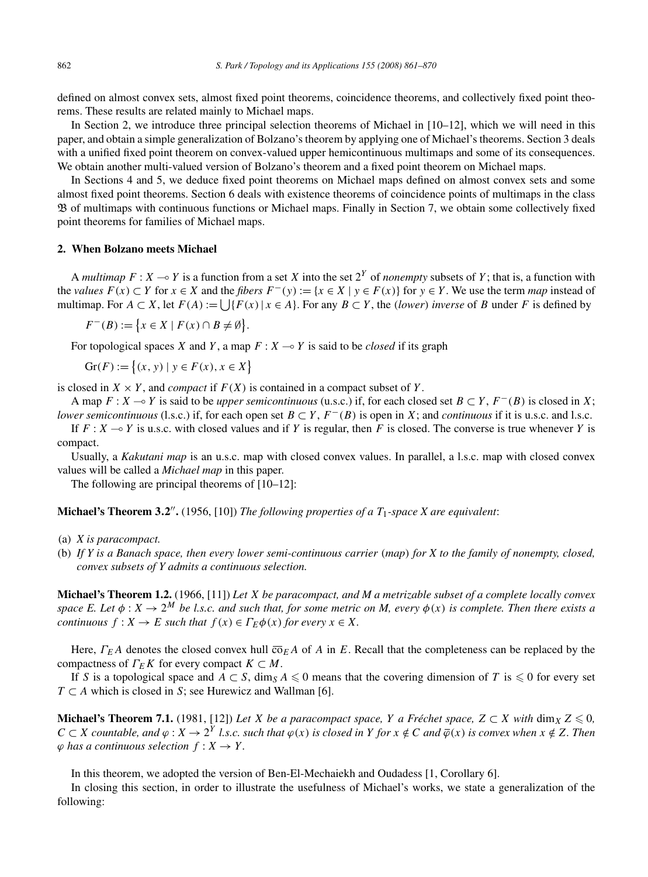defined on almost convex sets, almost fixed point theorems, coincidence theorems, and collectively fixed point theorems. These results are related mainly to Michael maps.

In Section 2, we introduce three principal selection theorems of Michael in [10–12], which we will need in this paper, and obtain a simple generalization of Bolzano's theorem by applying one of Michael's theorems. Section 3 deals with a unified fixed point theorem on convex-valued upper hemicontinuous multimaps and some of its consequences. We obtain another multi-valued version of Bolzano's theorem and a fixed point theorem on Michael maps.

In Sections 4 and 5, we deduce fixed point theorems on Michael maps defined on almost convex sets and some almost fixed point theorems. Section 6 deals with existence theorems of coincidence points of multimaps in the class B of multimaps with continuous functions or Michael maps. Finally in Section 7, we obtain some collectively fixed point theorems for families of Michael maps.

## **2. When Bolzano meets Michael**

A *multimap*  $F: X \to Y$  is a function from a set X into the set  $2^Y$  of *nonempty* subsets of Y; that is, a function with the *values*  $F(x) \subset Y$  for  $x \in X$  and the *fibers*  $F^-(y) := \{x \in X \mid y \in F(x)\}$  for  $y \in Y$ . We use the term *map* instead of multimap. For  $A \subset X$ , let  $F(A) := \bigcup \{F(x) \mid x \in A\}$ . For any  $B \subset Y$ , the *(lower) inverse* of *B* under *F* is defined by

 $F^{-}(B) := \{x \in X \mid F(x) \cap B \neq \emptyset\}.$ 

For topological spaces *X* and *Y*, a map  $F: X \rightarrow Y$  is said to be *closed* if its graph

$$
Gr(F) := \{(x, y) \mid y \in F(x), x \in X\}
$$

is closed in  $X \times Y$ , and *compact* if  $F(X)$  is contained in a compact subset of Y.

A map  $F: X \to Y$  is said to be *upper semicontinuous* (u.s.c.) if, for each closed set  $B \subset Y$ ,  $F^{-}(B)$  is closed in X; *lower semicontinuous* (l.s.c.) if, for each open set  $B \subset Y$ ,  $F^{-}(B)$  is open in *X*; and *continuous* if it is u.s.c. and l.s.c.

If  $F: X \to Y$  is u.s.c. with closed values and if *Y* is regular, then *F* is closed. The converse is true whenever *Y* is compact.

Usually, a *Kakutani map* is an u.s.c. map with closed convex values. In parallel, a l.s.c. map with closed convex values will be called a *Michael map* in this paper.

The following are principal theorems of [10–12]:

**Michael's Theorem 3***.***2.** (1956, [10]) *The following properties of a T*1*-space X are equivalent*:

- (a) *X is paracompact.*
- (b) *If Y is a Banach space, then every lower semi-continuous carrier (map) for X to the family of nonempty, closed, convex subsets of Y admits a continuous selection.*

**Michael's Theorem 1.2.** (1966, [11]) *Let X be paracompact, and M a metrizable subset of a complete locally convex space E. Let*  $\phi: X \to 2^M$  *be l.s.c. and such that, for some metric on M, every*  $\phi(x)$  *is complete. Then there exists a continuous*  $f: X \to E$  *such that*  $f(x) \in \Gamma_E \phi(x)$  *for every*  $x \in X$ *.* 

Here,  $\Gamma_E A$  denotes the closed convex hull  $\overline{\sigma}_E A$  of *A* in *E*. Recall that the completeness can be replaced by the compactness of  $\Gamma_E K$  for every compact  $K \subset M$ .

If *S* is a topological space and  $A \subset S$ , dim<sub>*S*</sub>  $A \le 0$  means that the covering dimension of *T* is  $\le 0$  for every set *T* ⊂ *A* which is closed in *S*; see Hurewicz and Wallman [6].

**Michael's Theorem 7.1.** (1981, [12]) Let *X* be a paracompact space, *Y* a Fréchet space,  $Z \subset X$  with  $\dim_X Z \leq 0$ ,  $C \subset X$  countable, and  $\varphi: X \to 2^Y$  l.s.c. such that  $\varphi(x)$  is closed in Y for  $x \notin C$  and  $\overline{\varphi}(x)$  is convex when  $x \notin Z$ . Then  $\varphi$  *has a continuous selection*  $f: X \to Y$ *.* 

In this theorem, we adopted the version of Ben-El-Mechaiekh and Oudadess [1, Corollary 6].

In closing this section, in order to illustrate the usefulness of Michael's works, we state a generalization of the following: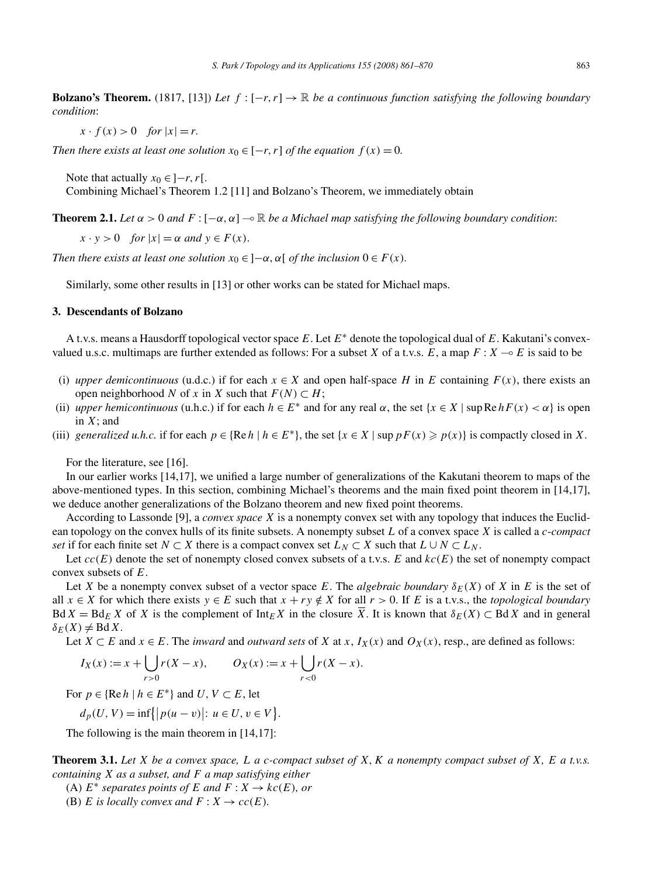**Bolzano's Theorem.** (1817, [13]) Let  $f : [-r, r] \to \mathbb{R}$  be a continuous function satisfying the following boundary *condition*:

 $x \cdot f(x) > 0$  *for*  $|x| = r$ .

*Then there exists at least one solution*  $x_0 \in [-r, r]$  *of the equation*  $f(x) = 0$ *.* 

Note that actually  $x_0 \in ]-r, r[$ .

Combining Michael's Theorem 1.2 [11] and Bolzano's Theorem, we immediately obtain

**Theorem 2.1.** *Let*  $\alpha > 0$  *and*  $F : [-\alpha, \alpha] \to \mathbb{R}$  *be a Michael map satisfying the following boundary condition*:

 $x \cdot y > 0$  *for*  $|x| = \alpha$  *and*  $y \in F(x)$ .

*Then there exists at least one solution*  $x_0 \in ]-\alpha, \alpha[$  *of the inclusion*  $0 \in F(x)$ *.* 

Similarly, some other results in [13] or other works can be stated for Michael maps.

## **3. Descendants of Bolzano**

A t.v.s. means a Hausdorff topological vector space *E*. Let *E*<sup>∗</sup> denote the topological dual of *E*. Kakutani's convexvalued u.s.c. multimaps are further extended as follows: For a subset *X* of a t.v.s. *E*, a map  $F: X \to E$  is said to be

- (i) *upper demicontinuous* (u.d.c.) if for each  $x \in X$  and open half-space *H* in *E* containing  $F(x)$ , there exists an open neighborhood *N* of *x* in *X* such that  $F(N) \subset H$ ;
- (ii) *upper hemicontinuous* (u.h.c.) if for each  $h \in E^*$  and for any real  $\alpha$ , the set  $\{x \in X \mid \text{sup} \text{Re } h F(x) < \alpha\}$  is open in *X*; and
- (iii) *generalized u.h.c.* if for each  $p \in \{Re\ h \mid h \in E^*\}$ , the set  $\{x \in X \mid \sup p F(x) \geq p(x)\}$  is compactly closed in X.

For the literature, see [16].

In our earlier works [14,17], we unified a large number of generalizations of the Kakutani theorem to maps of the above-mentioned types. In this section, combining Michael's theorems and the main fixed point theorem in [14,17], we deduce another generalizations of the Bolzano theorem and new fixed point theorems.

According to Lassonde [9], a *convex space X* is a nonempty convex set with any topology that induces the Euclidean topology on the convex hulls of its finite subsets. A nonempty subset *L* of a convex space *X* is called a *c*-*compact set* if for each finite set  $N \subset X$  there is a compact convex set  $L_N \subset X$  such that  $L \cup N \subset L_N$ .

Let  $cc(E)$  denote the set of nonempty closed convex subsets of a t.v.s. *E* and  $kc(E)$  the set of nonempty compact convex subsets of *E*.

Let *X* be a nonempty convex subset of a vector space *E*. The *algebraic boundary*  $\delta_E(X)$  of *X* in *E* is the set of all  $x \in X$  for which there exists  $y \in E$  such that  $x + ry \notin X$  for all  $r > 0$ . If *E* is a t.v.s., the *topological boundary* Bd  $X = BdE X$  of *X* is the complement of Int $E X$  in the closure  $\overline{X}$ . It is known that  $\delta E(X) \subset BdX$  and in general  $\delta_E(X) \neq \text{Bd } X$ .

Let *X*  $\subset$  *E* and *x*  $\in$  *E*. The *inward* and *outward sets* of *X* at *x*, *I<sub>X</sub>(x)* and *O<sub>X</sub>(x)*, resp., are defined as follows:

$$
I_X(x) := x + \bigcup_{r>0} r(X - x), \qquad O_X(x) := x + \bigcup_{r<0} r(X - x).
$$

For  $p \in \{ \text{Re } h \mid h \in E^* \}$  and  $U, V \subset E$ , let

$$
d_p(U, V) = \inf\{|p(u - v)| : u \in U, v \in V\}.
$$

The following is the main theorem in [14,17]:

**Theorem 3.1.** *Let X be a convex space, L a c-compact subset of X, K a nonempty compact subset of X, E a t.v.s. containing X as a subset, and F a map satisfying either*

(A)  $E^*$  *separates points of*  $E$  *and*  $F: X \rightarrow kc(E)$ *, or* 

(B) *E* is locally convex and  $F: X \to cc(E)$ *.*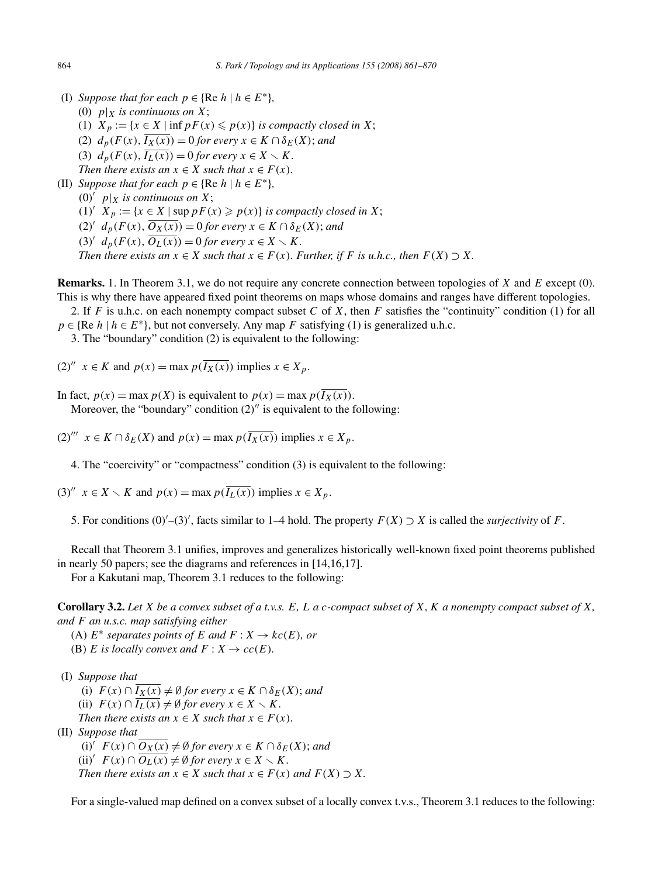(I) *Suppose that for each*  $p \in \{ \text{Re } h \mid h \in E^* \}$ , (0)  $p|_X$  *is continuous on X*; (1)  $X_p := \{x \in X \mid \inf p F(x) \leq p(x)\}$  *is compactly closed in X*; (2)  $d_p(F(x), \overline{I_X(x)}) = 0$  *for every*  $x \in K \cap \delta_F(X)$ ; *and* (3)  $d_p(F(x), \overline{I_L(x)}) = 0$  *for every*  $x \in X \setminus K$ *. Then there exists an*  $x \in X$  *such that*  $x \in F(x)$ *.* (II) *Suppose that for each*  $p \in \{ \text{Re } h \mid h \in E^* \}$ , (0)<sup> $\prime$ </sup>  $p|X$  *is continuous on X*; (1) *X*  $_p := \{x \in X \mid \text{sup } pF(x) \geqslant p(x)\}$  *is compactly closed in X*; (2)<sup>*d*</sup>  $d_p(F(x), \overline{O_X(x)}) = 0$  *for every*  $x \in K \cap \delta_E(X)$ ; *and* (3)<sup>*t*</sup>  $d_p(F(x), \overline{O_L(x)}) = 0$  *for every*  $x \in X \setminus K$ *.* 

*Then there exists an*  $x \in X$  *such that*  $x \in F(x)$ *. Further, if F is u.h.c., then*  $F(X) \supseteq X$ *.* 

**Remarks.** 1. In Theorem 3.1, we do not require any concrete connection between topologies of *X* and *E* except (0). This is why there have appeared fixed point theorems on maps whose domains and ranges have different topologies.

2. If *F* is u.h.c. on each nonempty compact subset *C* of *X*, then *F* satisfies the "continuity" condition (1) for all  $p \in \{ \text{Re } h \mid h \in E^* \}$ , but not conversely. Any map *F* satisfying (1) is generalized u.h.c.

3. The "boundary" condition (2) is equivalent to the following:

(2)<sup>"</sup>  $x \in K$  and  $p(x) = \max p(\overline{I_X(x)})$  implies  $x \in X_p$ .

In fact,  $p(x) = \max p(X)$  is equivalent to  $p(x) = \max p(\overline{I_X(x)})$ .

Moreover, the "boundary" condition  $(2)$ " is equivalent to the following:

 $(2)$ <sup>*'''*</sup>  $x \in K \cap \delta_F(X)$  and  $p(x) = \max p(\overline{I_X(x)})$  implies  $x \in X_p$ .

4. The "coercivity" or "compactness" condition (3) is equivalent to the following:

(3)<sup>"</sup>  $x \in X \setminus K$  and  $p(x) = \max p(\overline{I_L(x)})$  implies  $x \in X_p$ .

5. For conditions  $(0)^\prime$  –(3)', facts similar to 1–4 hold. The property  $F(X) \supset X$  is called the *surjectivity* of *F*.

Recall that Theorem 3.1 unifies, improves and generalizes historically well-known fixed point theorems published in nearly 50 papers; see the diagrams and references in [14,16,17].

For a Kakutani map, Theorem 3.1 reduces to the following:

**Corollary 3.2.** *Let X be a convex subset of a t.v.s. E, L a c-compact subset of X, K a nonempty compact subset of X, and F an u.s.c. map satisfying either*

(A)  $E^*$  *separates points of*  $E$  *and*  $F: X \to kc(E)$ *, or* 

(B) *E* is locally convex and  $F: X \to cc(E)$ *.* 

(I) *Suppose that*

(i)  $F(x) \cap \overline{I_X(x)} \neq \emptyset$  for every  $x \in K \cap \delta_E(X)$ ; and

- (ii)  $F(x) \cap I_L(x) \neq \emptyset$  for every  $x \in X \setminus K$ .
- *Then there exists an*  $x \in X$  *such that*  $x \in F(x)$ *.*
- (II) *Suppose that*

 $(i)'$   $F(x) \cap \overline{O_X(x)} \neq \emptyset$  for every  $x \in K \cap \delta_E(X)$ ; and (ii)'  $F(x) \cap \overline{O_L(x)} \neq \emptyset$  for every  $x \in X \setminus K$ . *Then there exists an*  $x \in X$  *such that*  $x \in F(x)$  *and*  $F(X) \supset X$ *.* 

For a single-valued map defined on a convex subset of a locally convex t.v.s., Theorem 3.1 reduces to the following: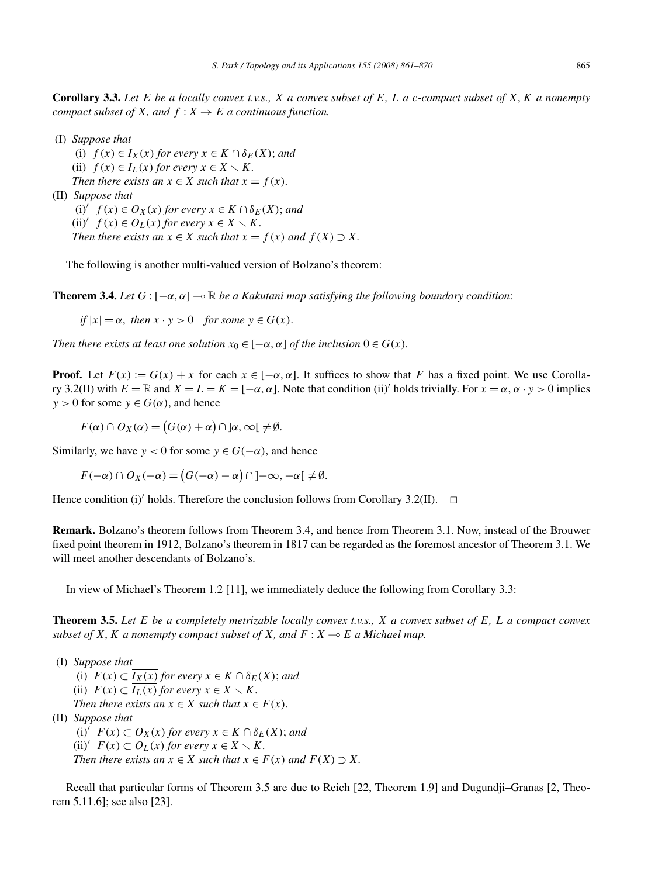**Corollary 3.3.** *Let E be a locally convex t.v.s., X a convex subset of E, L a c-compact subset of X, K a nonempty compact subset of X, and*  $f: X \rightarrow E$  *a continuous function.* 

(I) *Suppose that*

(i)  $f(x) \in I_X(x)$  *for every*  $x \in K \cap \delta_E(X)$ ; *and* (ii)  $f(x) \in \overline{I_L(x)}$  *for every*  $x \in X \setminus K$ *. Then there exists an*  $x \in X$  *such that*  $x = f(x)$ *.* 

(II) *Suppose that*

 $(i)'$   $f(x) \in \overline{O_X(x)}$  *for every*  $x \in K \cap \delta_E(X)$ ; *and* (ii)'  $f(x) \in \overline{O_L(x)}$  for every  $x \in X \setminus K$ . *Then there exists an*  $x \in X$  *such that*  $x = f(x)$  *and*  $f(X) \supset X$ *.* 

The following is another multi-valued version of Bolzano's theorem:

**Theorem 3.4.** *Let*  $G$  :  $[-\alpha, \alpha] \rightarrow \mathbb{R}$  *be a Kakutani map satisfying the following boundary condition*:

 $if |x| = \alpha$ , *then*  $x \cdot y > 0$  *for some*  $y \in G(x)$ .

*Then there exists at least one solution*  $x_0 \in [-\alpha, \alpha]$  *of the inclusion*  $0 \in G(x)$ *.* 

**Proof.** Let  $F(x) := G(x) + x$  for each  $x \in [-\alpha, \alpha]$ . It suffices to show that *F* has a fixed point. We use Corollary 3.2(II) with  $E = \mathbb{R}$  and  $X = L = K = [-\alpha, \alpha]$ . Note that condition (ii)' holds trivially. For  $x = \alpha, \alpha \cdot y > 0$  implies  $y > 0$  for some  $y \in G(\alpha)$ , and hence

 $F(\alpha) \cap O_X(\alpha) = (G(\alpha) + \alpha) \cap \alpha, \infty[ \neq \emptyset.$ 

Similarly, we have  $y < 0$  for some  $y \in G(-\alpha)$ , and hence

 $F(-\alpha) \cap O_X(-\alpha) = (G(-\alpha) - \alpha) \cap ]-\infty, -\alpha[ \neq \emptyset.$ 

Hence condition (i)' holds. Therefore the conclusion follows from Corollary 3.2(II).  $\Box$ 

**Remark.** Bolzano's theorem follows from Theorem 3.4, and hence from Theorem 3.1. Now, instead of the Brouwer fixed point theorem in 1912, Bolzano's theorem in 1817 can be regarded as the foremost ancestor of Theorem 3.1. We will meet another descendants of Bolzano's.

In view of Michael's Theorem 1.2 [11], we immediately deduce the following from Corollary 3.3:

**Theorem 3.5.** *Let E be a completely metrizable locally convex t.v.s., X a convex subset of E, L a compact convex subset of*  $X$ *,*  $K$  *a nonempty compact subset of*  $X$ *, and*  $F : X \rightarrow E$  *a* Michael map.

(I) *Suppose that* (i)  $F(x) \subset \overline{I_X(x)}$  *for every*  $x \in K \cap \delta_E(X)$ ; *and* (ii)  $F(x) \subset \overline{I_L(x)}$  *for every*  $x \in X \setminus K$ *. Then there exists an*  $x \in X$  *such that*  $x \in F(x)$ *.* (II) *Suppose that* (i)'  $F(x)$  ⊂  $O_X(x)$  *for every*  $x \in K \cap \delta_E(X)$ ; *and* (ii)'  $F(x) \subset \overline{O_L(x)}$  *for every*  $x \in X \setminus K$ *. Then there exists an*  $x \in X$  *such that*  $x \in F(x)$  *and*  $F(X) \supset X$ *.* 

Recall that particular forms of Theorem 3.5 are due to Reich [22, Theorem 1.9] and Dugundji–Granas [2, Theorem 5.11.6]; see also [23].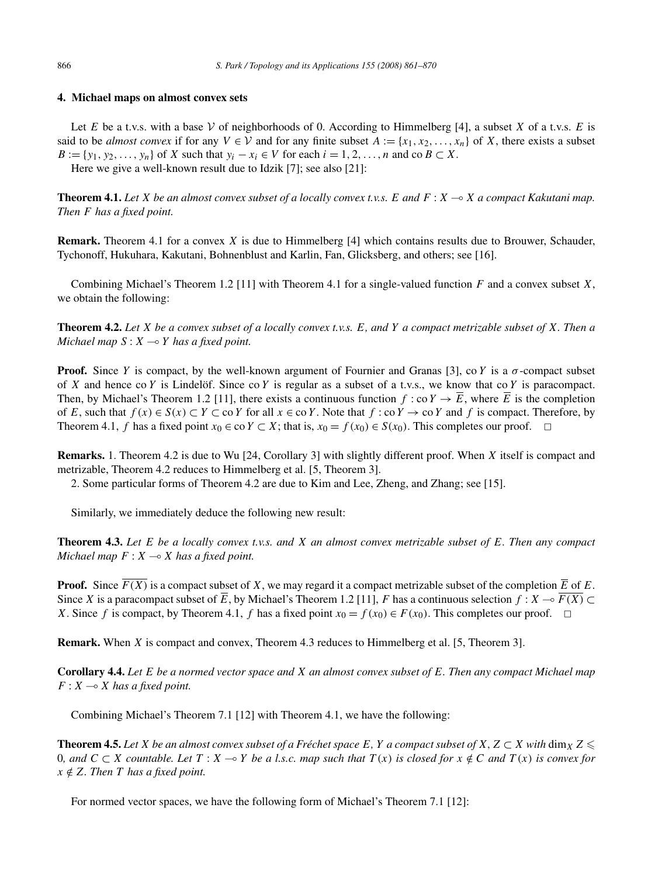# **4. Michael maps on almost convex sets**

Let *E* be a t.v.s. with a base  $V$  of neighborhoods of 0. According to Himmelberg [4], a subset *X* of a t.v.s. *E* is said to be *almost convex* if for any  $V \in V$  and for any finite subset  $A := \{x_1, x_2, \ldots, x_n\}$  of *X*, there exists a subset  $B := \{y_1, y_2, \ldots, y_n\}$  of *X* such that  $y_i - x_i \in V$  for each  $i = 1, 2, \ldots, n$  and co  $B \subset X$ . Here we give a well-known result due to Idzik [7]; see also [21]:

**Theorem 4.1.** *Let X be an almost convex subset of a locally convex t.v.s. E and F* : *X* - *X a compact Kakutani map. Then F has a fixed point.*

**Remark.** Theorem 4.1 for a convex *X* is due to Himmelberg [4] which contains results due to Brouwer, Schauder, Tychonoff, Hukuhara, Kakutani, Bohnenblust and Karlin, Fan, Glicksberg, and others; see [16].

Combining Michael's Theorem 1.2 [11] with Theorem 4.1 for a single-valued function *F* and a convex subset *X*, we obtain the following:

**Theorem 4.2.** *Let X be a convex subset of a locally convex t.v.s. E, and Y a compact metrizable subset of X. Then a Michael map S* : *X* - *Y has a fixed point.*

**Proof.** Since *Y* is compact, by the well-known argument of Fournier and Granas [3], co *Y* is a  $\sigma$ -compact subset of *X* and hence co *Y* is Lindelöf. Since co *Y* is regular as a subset of a t.v.s., we know that co *Y* is paracompact. Then, by Michael's Theorem 1.2 [11], there exists a continuous function  $f: co Y \to \overline{E}$ , where  $\overline{E}$  is the completion of *E*, such that  $f(x) \in S(x) \subset Y \subset \text{co } Y$  for all  $x \in \text{co } Y$ . Note that  $f: \text{co } Y \to \text{co } Y$  and  $f$  is compact. Therefore, by Theorem 4.1, *f* has a fixed point  $x_0 \in \text{co } Y \subset X$ ; that is,  $x_0 = f(x_0) \in S(x_0)$ . This completes our proof.  $\Box$ 

**Remarks.** 1. Theorem 4.2 is due to Wu [24, Corollary 3] with slightly different proof. When *X* itself is compact and metrizable, Theorem 4.2 reduces to Himmelberg et al. [5, Theorem 3].

2. Some particular forms of Theorem 4.2 are due to Kim and Lee, Zheng, and Zhang; see [15].

Similarly, we immediately deduce the following new result:

**Theorem 4.3.** *Let E be a locally convex t.v.s. and X an almost convex metrizable subset of E. Then any compact Michael map*  $F: X \longrightarrow X$  *has a fixed point.* 

**Proof.** Since  $\overline{F(X)}$  is a compact subset of *X*, we may regard it a compact metrizable subset of the completion  $\overline{E}$  of *E*. Since *X* is a paracompact subset of  $\overline{E}$ , by Michael's Theorem 1.2 [11], *F* has a continuous selection  $f: X \to \overline{F(X)} \subset$ *X*. Since *f* is compact, by Theorem 4.1, *f* has a fixed point  $x_0 = f(x_0) \in F(x_0)$ . This completes our proof.  $\Box$ 

**Remark.** When *X* is compact and convex, Theorem 4.3 reduces to Himmelberg et al. [5, Theorem 3].

**Corollary 4.4.** *Let E be a normed vector space and X an almost convex subset of E. Then any compact Michael map*  $F: X \longrightarrow X$  *has a fixed point.* 

Combining Michael's Theorem 7.1 [12] with Theorem 4.1, we have the following:

**Theorem 4.5.** Let *X* be an almost convex subset of a Fréchet space E, Y a compact subset of X, Z  $\subset$  *X* with dim<sub>X</sub> Z  $\leq$ 0, and  $C \subset X$  countable. Let  $T : X \to Y$  be a l.s.c. map such that  $T(x)$  is closed for  $x \notin C$  and  $T(x)$  is convex for  $x \notin Z$ *. Then T* has a fixed point.

For normed vector spaces, we have the following form of Michael's Theorem 7.1 [12]: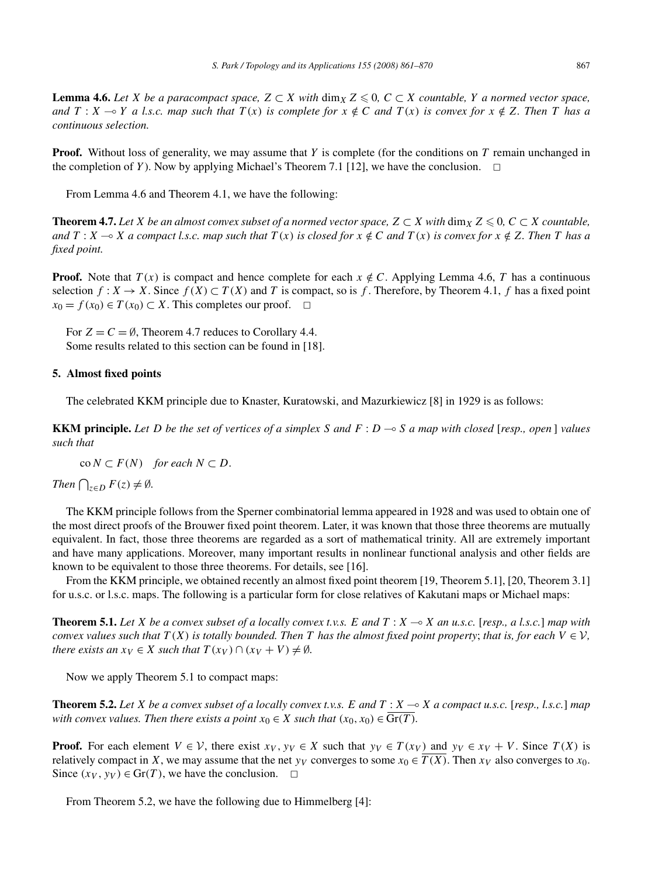**Lemma 4.6.** *Let X be a paracompact space,*  $Z \subset X$  *with* dim<sub>*X*</sub>  $Z \le 0$ ,  $C \subset X$  *countable, Y a normed vector space,* and  $T: X \to Y$  a l.s.c. map such that  $T(x)$  is complete for  $x \notin C$  and  $T(x)$  is convex for  $x \notin Z$ . Then T has a *continuous selection.*

**Proof.** Without loss of generality, we may assume that *Y* is complete (for the conditions on *T* remain unchanged in the completion of *Y*). Now by applying Michael's Theorem 7.1 [12], we have the conclusion.  $\Box$ 

From Lemma 4.6 and Theorem 4.1, we have the following:

**Theorem 4.7.** Let *X* be an almost convex subset of a normed vector space,  $Z \subset X$  with  $\dim_X Z \leq 0$ ,  $C \subset X$  countable, and  $T:X\multimap X$  a compact l.s.c. map such that  $T(x)$  is closed for  $x\notin C$  and  $T(x)$  is convex for  $x\notin Z$ . Then  $T$  has a *fixed point.*

**Proof.** Note that  $T(x)$  is compact and hence complete for each  $x \notin C$ . Applying Lemma 4.6, *T* has a continuous selection  $f: X \to X$ . Since  $f(X) \subset T(X)$  and *T* is compact, so is *f*. Therefore, by Theorem 4.1, *f* has a fixed point  $x_0 = f(x_0) \in T(x_0) \subset X$ . This completes our proof.  $\Box$ 

For  $Z = C = \emptyset$ , Theorem 4.7 reduces to Corollary 4.4. Some results related to this section can be found in [18].

## **5. Almost fixed points**

The celebrated KKM principle due to Knaster, Kuratowski, and Mazurkiewicz [8] in 1929 is as follows:

**KKM principle.** *Let D be the set of vertices of a simplex S and F* : *D* - *S a map with closed* [*resp., open* ] *values such that*

 $\text{co } N \subset F(N)$  *for each*  $N \subset D$ .

*Then*  $\bigcap_{z \in D} F(z) \neq \emptyset$ *.* 

The KKM principle follows from the Sperner combinatorial lemma appeared in 1928 and was used to obtain one of the most direct proofs of the Brouwer fixed point theorem. Later, it was known that those three theorems are mutually equivalent. In fact, those three theorems are regarded as a sort of mathematical trinity. All are extremely important and have many applications. Moreover, many important results in nonlinear functional analysis and other fields are known to be equivalent to those three theorems. For details, see [16].

From the KKM principle, we obtained recently an almost fixed point theorem [19, Theorem 5.1], [20, Theorem 3.1] for u.s.c. or l.s.c. maps. The following is a particular form for close relatives of Kakutani maps or Michael maps:

**Theorem 5.1.** *Let X be a convex subset of a locally convex t.v.s. E and T* : *X* - *X an u.s.c.* [*resp., a l.s.c.*] *map with convex values such that*  $T(X)$  *is totally bounded. Then T has the almost fixed point property; that is, for each*  $V \in V$ , *there exists an*  $x_V \in X$  *such that*  $T(x_V) \cap (x_V + V) \neq \emptyset$ *.* 

Now we apply Theorem 5.1 to compact maps:

**Theorem 5.2.** *Let X be a convex subset of a locally convex t.v.s. E and T* : *X* - *X a compact u.s.c.* [*resp., l.s.c.*] *map with convex values. Then there exists a point*  $x_0 \in X$  *such that*  $(x_0, x_0) \in \text{Gr}(T)$ *.* 

**Proof.** For each element  $V \in V$ , there exist  $x_V, y_V \in X$  such that  $y_V \in T(x_V)$  and  $y_V \in x_V + V$ . Since  $T(X)$  is relatively compact in *X*, we may assume that the net  $y_V$  converges to some  $x_0 \in \overline{T(X)}$ . Then  $x_V$  also converges to  $x_0$ . Since  $(x_V, y_V) \in \text{Gr}(T)$ , we have the conclusion.  $\Box$ 

From Theorem 5.2, we have the following due to Himmelberg [4]: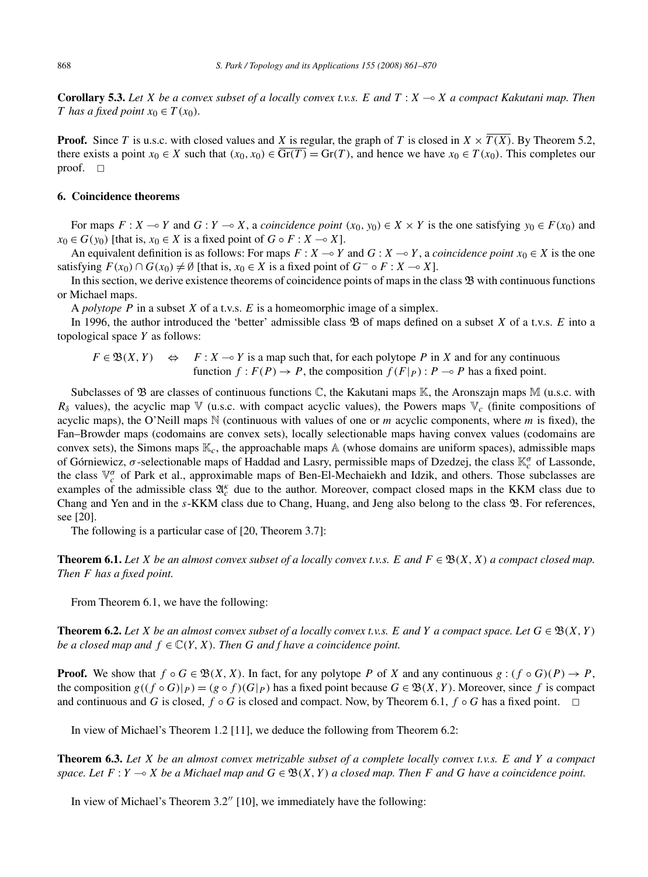**Corollary 5.3.** *Let X be a convex subset of a locally convex t.v.s. E and T* : *X* - *X a compact Kakutani map. Then T* has a fixed point  $x_0 \in T(x_0)$ *.* 

**Proof.** Since *T* is u.s.c. with closed values and *X* is regular, the graph of *T* is closed in  $X \times \overline{T(X)}$ . By Theorem 5.2, there exists a point  $x_0 \in X$  such that  $(x_0, x_0) \in \overline{\text{Gr}(T)} = \text{Gr}(T)$ , and hence we have  $x_0 \in T(x_0)$ . This completes our proof.  $\square$ 

## **6. Coincidence theorems**

For maps  $F: X \to Y$  and  $G: Y \to X$ , a *coincidence point*  $(x_0, y_0) \in X \times Y$  is the one satisfying  $y_0 \in F(x_0)$  and  $x_0 \in G(y_0)$  [that is,  $x_0 \in X$  is a fixed point of  $G \circ F : X \to X$ ].

An equivalent definition is as follows: For maps  $F: X \to Y$  and  $G: X \to Y$ , a *coincidence point*  $x_0 \in X$  is the one satisfying  $F(x_0) \cap G(x_0) \neq \emptyset$  [that is,  $x_0 \in X$  is a fixed point of  $G^- \circ F : X \to X$ ].

In this section, we derive existence theorems of coincidence points of maps in the class  $\mathfrak B$  with continuous functions or Michael maps.

A *polytope P* in a subset *X* of a t.v.s. *E* is a homeomorphic image of a simplex.

In 1996, the author introduced the 'better' admissible class B of maps defined on a subset *X* of a t.v.s. *E* into a topological space *Y* as follows:

 $F \in \mathfrak{B}(X, Y)$   $\Leftrightarrow$   $F : X \rightarrow Y$  is a map such that, for each polytope *P* in *X* and for any continuous function  $f: F(P) \to P$ , the composition  $f(F|_P): P \to P$  has a fixed point.

Subclasses of  $\mathfrak B$  are classes of continuous functions  $\mathbb C$ , the Kakutani maps  $\mathbb K$ , the Aronszajn maps  $\mathbb M$  (u.s.c. with *Rδ* values), the acyclic map V (u.s.c. with compact acyclic values), the Powers maps V*<sup>c</sup>* (finite compositions of acyclic maps), the O'Neill maps N (continuous with values of one or *m* acyclic components, where *m* is fixed), the Fan–Browder maps (codomains are convex sets), locally selectionable maps having convex values (codomains are convex sets), the Simons maps  $\mathbb{K}_c$ , the approachable maps  $\mathbb{A}$  (whose domains are uniform spaces), admissible maps of Górniewicz, *σ* -selectionable maps of Haddad and Lasry, permissible maps of Dzedzej, the class K*<sup>σ</sup> <sup>c</sup>* of Lassonde, the class  $\mathbb{V}_c^{\sigma}$  of Park et al., approximable maps of Ben-El-Mechaiekh and Idzik, and others. Those subclasses are examples of the admissible class  $\mathfrak{A}_{c}^{\kappa}$  due to the author. Moreover, compact closed maps in the KKM class due to Chang and Yen and in the *s*-KKM class due to Chang, Huang, and Jeng also belong to the class B. For references, see [20].

The following is a particular case of [20, Theorem 3.7]:

**Theorem 6.1.** Let *X* be an almost convex subset of a locally convex t.v.s. *E* and  $F \in \mathfrak{B}(X, X)$  a compact closed map. *Then F has a fixed point.*

From Theorem 6.1, we have the following:

**Theorem 6.2.** Let *X* be an almost convex subset of a locally convex t.v.s. *E* and *Y* a compact space. Let  $G \in \mathfrak{B}(X, Y)$ *be a closed map and*  $f \in \mathbb{C}(Y, X)$ *. Then G and f have a coincidence point.* 

**Proof.** We show that  $f \circ G \in \mathfrak{B}(X, X)$ . In fact, for any polytope P of X and any continuous  $g : (f \circ G)(P) \to P$ , the composition  $g((f \circ G)|_P) = (g \circ f)(G|_P)$  has a fixed point because  $G \in \mathfrak{B}(X, Y)$ . Moreover, since f is compact and continuous and *G* is closed,  $f \circ G$  is closed and compact. Now, by Theorem 6.1,  $f \circ G$  has a fixed point.  $\Box$ 

In view of Michael's Theorem 1.2 [11], we deduce the following from Theorem 6.2:

**Theorem 6.3.** *Let X be an almost convex metrizable subset of a complete locally convex t.v.s. E and Y a compact*  $space$  *Let*  $F: Y \to X$  *be a Michael map and*  $G \in \mathfrak{B}(X, Y)$  *a closed map. Then*  $F$  *and*  $G$  *have a coincidence point.* 

In view of Michael's Theorem 3.2" [10], we immediately have the following: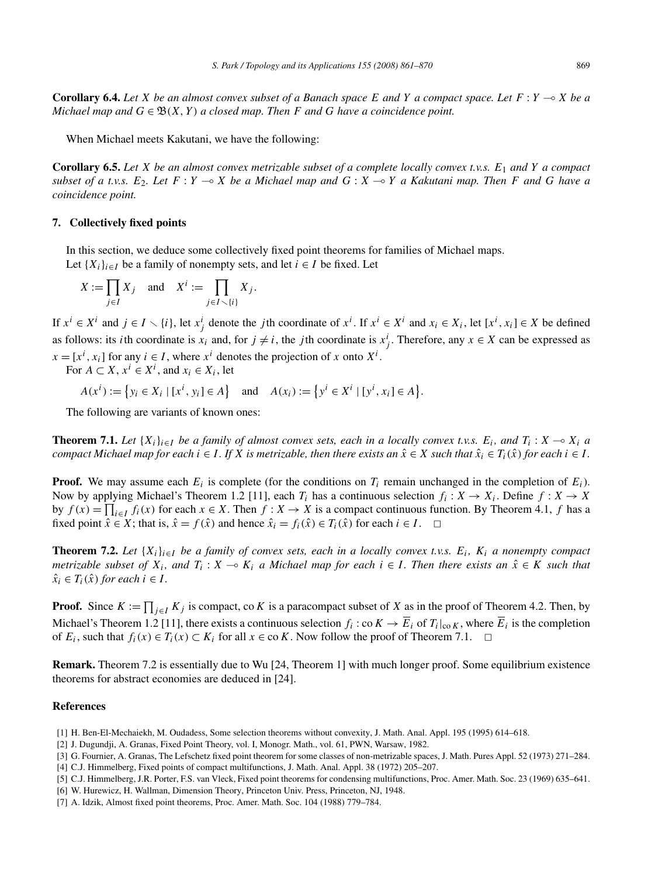**Corollary 6.4.** *Let X be an almost convex subset of a Banach space E and Y a compact space. Let F* : *Y* - *X be a Michael map and*  $G \in \mathfrak{B}(X, Y)$  *a closed map. Then F and G have a coincidence point.* 

When Michael meets Kakutani, we have the following:

**Corollary 6.5.** *Let X be an almost convex metrizable subset of a complete locally convex t.v.s. E*<sup>1</sup> *and Y a compact* subset of a t.v.s.  $E_2$ . Let  $F: Y \to X$  be a Michael map and  $G: X \to Y$  a Kakutani map. Then  $F$  and  $G$  have a *coincidence point.*

### **7. Collectively fixed points**

In this section, we deduce some collectively fixed point theorems for families of Michael maps. Let  $\{X_i\}_{i \in I}$  be a family of nonempty sets, and let  $i \in I$  be fixed. Let

$$
X := \prod_{j \in I} X_j \quad \text{and} \quad X^i := \prod_{j \in I \setminus \{i\}} X_j.
$$

If  $x^i \in X^i$  and  $j \in I \setminus \{i\}$ , let  $x^i_j$  denote the *j*th coordinate of  $x^i$ . If  $x^i \in X^i$  and  $x_i \in X_i$ , let  $[x^i, x_i] \in X$  be defined as follows: its *i*th coordinate is  $x_i$  and, for  $j \neq i$ , the *j*th coordinate is  $x_j^i$ . Therefore, any  $x \in X$  can be expressed as  $x = [x^i, x_i]$  for any  $i \in I$ , where  $x^i$  denotes the projection of *x* onto  $X^i$ .

For  $A \subset X$ ,  $x^i \in X^i$ , and  $x_i \in X_i$ , let

 $A(x^i) := \{ y_i \in X_i \mid [x^i, y_i] \in A \}$  and  $A(x_i) := \{ y^i \in X^i \mid [y^i, x_i] \in A \}.$ 

The following are variants of known ones:

**Theorem 7.1.** Let  $\{X_i\}_{i\in I}$  be a family of almost convex sets, each in a locally convex t.v.s.  $E_i$ , and  $T_i: X \to X_i$  a compact Michael map for each  $i \in I$ . If X is metrizable, then there exists an  $\hat{x} \in X$  such that  $\hat{x}_i \in T_i(\hat{x})$  for each  $i \in I$ .

**Proof.** We may assume each  $E_i$  is complete (for the conditions on  $T_i$  remain unchanged in the completion of  $E_i$ ). Now by applying Michael's Theorem 1.2 [11], each  $T_i$  has a continuous selection  $f_i: X \to X_i$ . Define  $f: X \to X$ by  $f(x) = \prod_{i \in I} f_i(x)$  for each  $x \in X$ . Then  $f: X \to X$  is a compact continuous function. By Theorem 4.1, *f* has a fixed point  $\hat{x} \in X$ ; that is,  $\hat{x} = f(\hat{x})$  and hence  $\hat{x}_i = f_i(\hat{x}) \in T_i(\hat{x})$  for each  $i \in I$ .  $\Box$ 

**Theorem 7.2.** Let  $\{X_i\}_{i \in I}$  be a family of convex sets, each in a locally convex t.v.s.  $E_i$ ,  $K_i$  a nonempty compact *metrizable subset of*  $X_i$ , and  $T_i$ :  $X \to K_i$  a Michael map for each  $i \in I$ . Then there exists an  $\hat{x} \in K$  such that  $\hat{x}_i \in T_i(\hat{x})$  *for each*  $i \in I$ .

**Proof.** Since  $K := \prod_{j \in I} K_j$  is compact, co K is a paracompact subset of X as in the proof of Theorem 4.2. Then, by Michael's Theorem 1.2 [11], there exists a continuous selection  $f_i$ : co $K \to \overline{E}_i$  of  $T_i|_{\text{co }K}$ , where  $\overline{E}_i$  is the completion of  $E_i$ , such that  $f_i(x) \in T_i(x) \subset K_i$  for all  $x \in \text{co } K$ . Now follow the proof of Theorem 7.1.  $\Box$ 

**Remark.** Theorem 7.2 is essentially due to Wu [24, Theorem 1] with much longer proof. Some equilibrium existence theorems for abstract economies are deduced in [24].

#### **References**

- [1] H. Ben-El-Mechaiekh, M. Oudadess, Some selection theorems without convexity, J. Math. Anal. Appl. 195 (1995) 614–618.
- [2] J. Dugundji, A. Granas, Fixed Point Theory, vol. I, Monogr. Math., vol. 61, PWN, Warsaw, 1982.
- [3] G. Fournier, A. Granas, The Lefschetz fixed point theorem for some classes of non-metrizable spaces, J. Math. Pures Appl. 52 (1973) 271–284.
- [4] C.J. Himmelberg, Fixed points of compact multifunctions, J. Math. Anal. Appl. 38 (1972) 205–207.
- [5] C.J. Himmelberg, J.R. Porter, F.S. van Vleck, Fixed point theorems for condensing multifunctions, Proc. Amer. Math. Soc. 23 (1969) 635–641.
- [6] W. Hurewicz, H. Wallman, Dimension Theory, Princeton Univ. Press, Princeton, NJ, 1948.
- [7] A. Idzik, Almost fixed point theorems, Proc. Amer. Math. Soc. 104 (1988) 779–784.